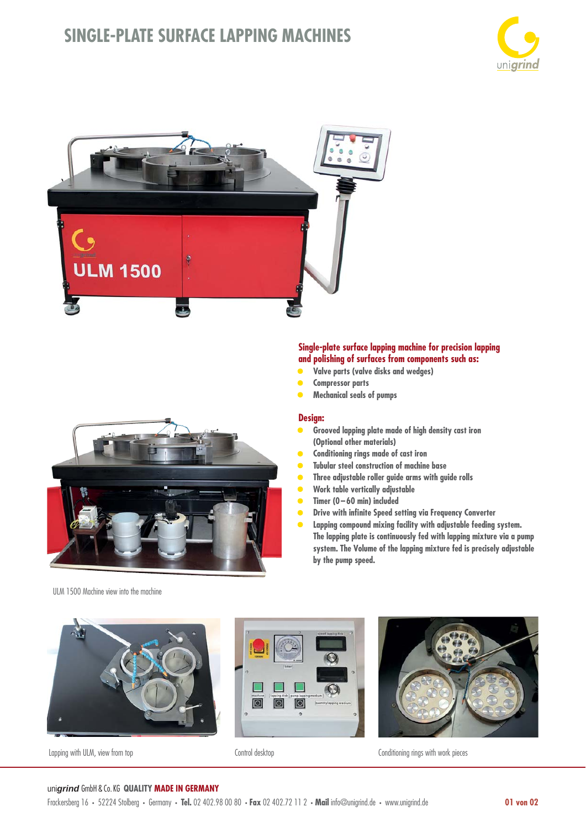## **SINGLE-PLATE SURFACE LAPPING MACHINES**







### **Single-plate surface lapping machine for precision lapping and polishing of surfaces from components such as:**

- **• Valve parts (valve disks and wedges)**
- **Compressor parts**
- **Mechanical seals of pumps**

#### **Design:**

- **Grooved lapping plate made of high density cast iron (Optional other materials)**
- **Conditioning rings made of cast iron**
- **Tubular steel construction of machine base**
- **Three adjustable roller guide arms with guide rolls**
- **Work table vertically adjustable**
- **Timer (0 60 min) included**
- **Drive with infinite Speed setting via Frequency Converter**
- **Lapping compound mixing facility with adjustable feeding system. The lapping plate is continuously fed with lapping mixture via a pump system. The Volume of the lapping mixture fed is precisely adjustable by the pump speed.**

ULM 1500 Machine view into the machine



Lapping with ULM, view from top example and the Control desktop Control desktop Conditioning rings with work pieces





#### uni*grind* GmbH & Co. KG **QUALITY MADE IN GERMANY**